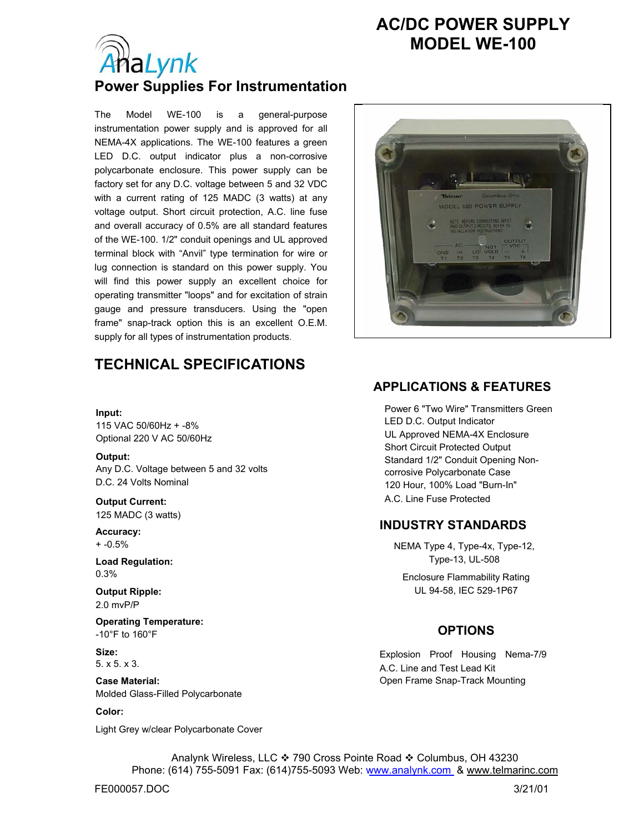# **AC/DC POWER SUPPLY MODEL WE-100**



## **Power Supplies For Instrumentation**

The Model WE-100 is a general-purpose instrumentation power supply and is approved for all NEMA-4X applications. The WE-100 features a green LED D.C. output indicator plus a non-corrosive polycarbonate enclosure. This power supply can be factory set for any D.C. voltage between 5 and 32 VDC with a current rating of 125 MADC (3 watts) at any voltage output. Short circuit protection, A.C. line fuse and overall accuracy of 0.5% are all standard features of the WE-100. 1/2" conduit openings and UL approved terminal block with "Anvil" type termination for wire or lug connection is standard on this power supply. You will find this power supply an excellent choice for operating transmitter "loops" and for excitation of strain gauge and pressure transducers. Using the "open frame" snap-track option this is an excellent O.E.M. supply for all types of instrumentation products.

## **TECHNICAL SPECIFICATIONS**

#### **Input:**

115 VAC 50/60Hz + -8% Optional 220 V AC 50/60Hz

**Output:**  Any D.C. Voltage between 5 and 32 volts D.C. 24 Volts Nominal

**Output Current:**  125 MADC (3 watts)

**Accuracy:**  + -0.5%

**Load Regulation:**  0.3%

**Output Ripple:**  2.0 mvP/P

**Operating Temperature:**  -10°F to 160°F

**Size:**  5. x 5. x 3.

**Case Material:**  Molded Glass-Filled Polycarbonate

#### **Color:**

Light Grey w/clear Polycarbonate Cover



### **APPLICATIONS & FEATURES**

Power 6 "Two Wire" Transmitters Green LED D.C. Output Indicator UL Approved NEMA-4X Enclosure Short Circuit Protected Output Standard 1/2" Conduit Opening Noncorrosive Polycarbonate Case 120 Hour, 100% Load "Burn-In" A.C. Line Fuse Protected

### **INDUSTRY STANDARDS**

NEMA Type 4, Type-4x, Type-12, Type-13, UL-508

Enclosure Flammability Rating UL 94-58, IEC 529-1P67

### **OPTIONS**

Explosion Proof Housing Nema-7/9 A.C. Line and Test Lead Kit Open Frame Snap-Track Mounting

Analynk Wireless, LLC ❖ 790 Cross Pointe Road ❖ Columbus, OH 43230 Phone: (614) 755-5091 Fax: (614)755-5093 Web: www.analynk.com & www.telmarinc.com